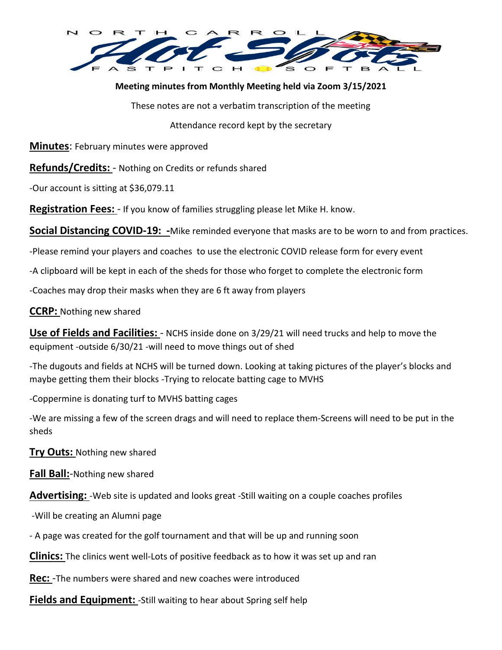

## **Meeting minutes from Monthly Meeting held via Zoom 3/15/2021**

These notes are not a verbatim transcription of the meeting

Attendance record kept by the secretary

**Minutes**: February minutes were approved

**Refunds/Credits:** - Nothing on Credits or refunds shared

-Our account is sitting at \$36,079.11

**Registration Fees:** - If you know of families struggling please let Mike H. know.

**Social Distancing COVID-19: -**Mike reminded everyone that masks are to be worn to and from practices.

-Please remind your players and coaches to use the electronic COVID release form for every event

-A clipboard will be kept in each of the sheds for those who forget to complete the electronic form

-Coaches may drop their masks when they are 6 ft away from players

**CCRP:** Nothing new shared

**Use of Fields and Facilities:** - NCHS inside done on 3/29/21 will need trucks and help to move the equipment -outside 6/30/21 -will need to move things out of shed

-The dugouts and fields at NCHS will be turned down. Looking at taking pictures of the player's blocks and maybe getting them their blocks -Trying to relocate batting cage to MVHS

-Coppermine is donating turf to MVHS batting cages

-We are missing a few of the screen drags and will need to replace them-Screens will need to be put in the sheds

**Try Outs:** Nothing new shared

**Fall Ball:**-Nothing new shared

**Advertising:** -Web site is updated and looks great -Still waiting on a couple coaches profiles

-Will be creating an Alumni page

- A page was created for the golf tournament and that will be up and running soon

**Clinics:** The clinics went well-Lots of positive feedback as to how it was set up and ran

**Rec:** -The numbers were shared and new coaches were introduced

**Fields and Equipment:** -Still waiting to hear about Spring self help